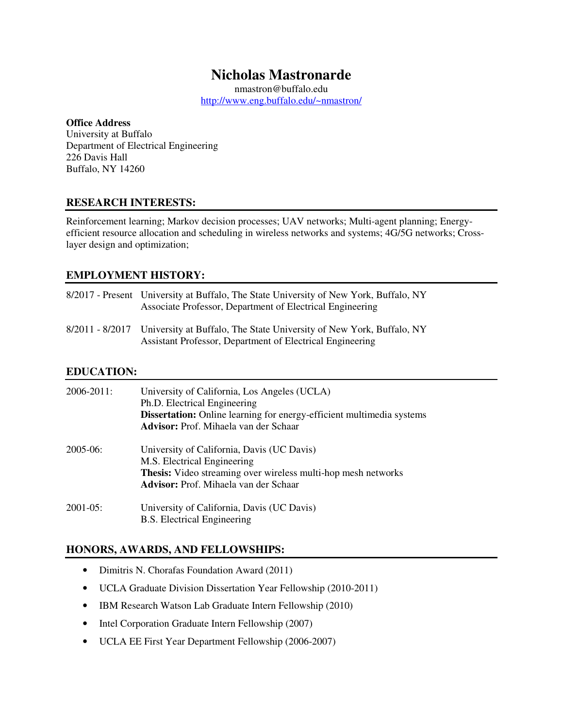# **Nicholas Mastronarde**

nmastron@buffalo.edu http://www.eng.buffalo.edu/~nmastron/

#### **Office Address**

 University at Buffalo Department of Electrical Engineering 226 Davis Hall Buffalo, NY 14260

### **RESEARCH INTERESTS:**

 Reinforcement learning; Markov decision processes; UAV networks; Multi-agent planning; Energy- efficient resource allocation and scheduling in wireless networks and systems; 4G/5G networks; Cross-layer design and optimization;

### **EMPLOYMENT HISTORY:**

| 8/2017 - Present University at Buffalo, The State University of New York, Buffalo, NY<br>Associate Professor, Department of Electrical Engineering |
|----------------------------------------------------------------------------------------------------------------------------------------------------|
| 8/2011 - 8/2017 University at Buffalo, The State University of New York, Buffalo, NY<br>Assistant Professor, Department of Electrical Engineering  |

### **EDUCATION:**

| 2006-2011:    | University of California, Los Angeles (UCLA)<br>Ph.D. Electrical Engineering<br><b>Dissertation:</b> Online learning for energy-efficient multimedia systems<br>Advisor: Prof. Mihaela van der Schaar |
|---------------|-------------------------------------------------------------------------------------------------------------------------------------------------------------------------------------------------------|
| 2005-06:      | University of California, Davis (UC Davis)<br>M.S. Electrical Engineering<br><b>Thesis:</b> Video streaming over wireless multi-hop mesh networks<br><b>Advisor:</b> Prof. Mihaela van der Schaar     |
| $2001 - 05$ : | University of California, Davis (UC Davis)<br><b>B.S.</b> Electrical Engineering                                                                                                                      |

### **HONORS, AWARDS, AND FELLOWSHIPS:**

- Dimitris N. Chorafas Foundation Award (2011)
- UCLA Graduate Division Dissertation Year Fellowship (2010-2011)
- IBM Research Watson Lab Graduate Intern Fellowship (2010)
- Intel Corporation Graduate Intern Fellowship (2007)
- UCLA EE First Year Department Fellowship (2006-2007)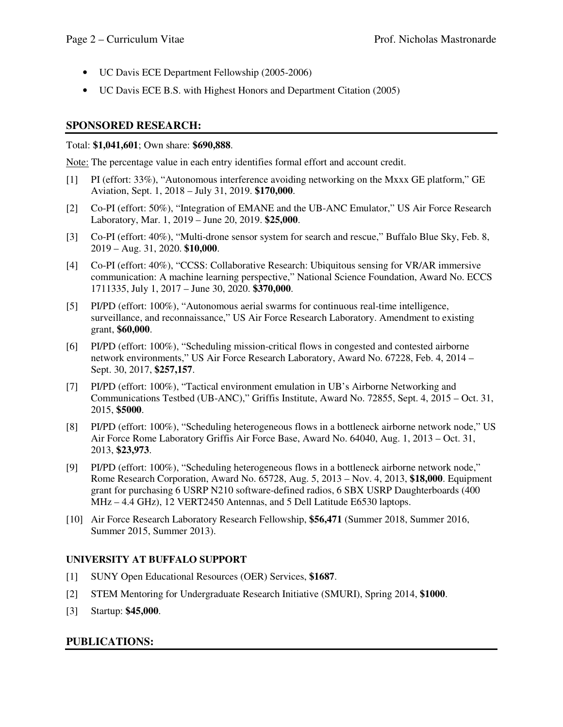- UC Davis ECE Department Fellowship (2005-2006)
- UC Davis ECE B.S. with Highest Honors and Department Citation (2005)

### **SPONSORED RESEARCH:**

#### Total: **\$1,041,601**; Own share: **\$690,888**.

Note: The percentage value in each entry identifies formal effort and account credit.

- [1] PI (effort: 33%), "Autonomous interference avoiding networking on the Mxxx GE platform," GE Aviation, Sept. 1, 2018 – July 31, 2019. **\$170,000**.
- [2] Co-PI (effort: 50%), "Integration of EMANE and the UB-ANC Emulator," US Air Force Research Laboratory, Mar. 1, 2019 – June 20, 2019. **\$25,000**.
- [3] Co-PI (effort: 40%), "Multi-drone sensor system for search and rescue," Buffalo Blue Sky, Feb. 8, 2019 – Aug. 31, 2020. **\$10,000**.
- [4] Co-PI (effort: 40%), "CCSS: Collaborative Research: Ubiquitous sensing for VR/AR immersive communication: A machine learning perspective," National Science Foundation, Award No. ECCS 1711335, July 1, 2017 – June 30, 2020. **\$370,000**.
- [5] PI/PD (effort: 100%), "Autonomous aerial swarms for continuous real-time intelligence, surveillance, and reconnaissance," US Air Force Research Laboratory. Amendment to existing grant, **\$60,000**.
- [6] PI/PD (effort: 100%), "Scheduling mission-critical flows in congested and contested airborne network environments," US Air Force Research Laboratory, Award No. 67228, Feb. 4, 2014 – Sept. 30, 2017, **\$257,157**.
- [7] PI/PD (effort: 100%), "Tactical environment emulation in UB's Airborne Networking and Communications Testbed (UB-ANC)," Griffis Institute, Award No. 72855, Sept. 4, 2015 – Oct. 31, 2015, **\$5000**.
- [8] PI/PD (effort: 100%), "Scheduling heterogeneous flows in a bottleneck airborne network node," US Air Force Rome Laboratory Griffis Air Force Base, Award No. 64040, Aug. 1, 2013 – Oct. 31, 2013, **\$23,973**.
- [9] PI/PD (effort: 100%), "Scheduling heterogeneous flows in a bottleneck airborne network node," Rome Research Corporation, Award No. 65728, Aug. 5, 2013 – Nov. 4, 2013, **\$18,000**. Equipment grant for purchasing 6 USRP N210 software-defined radios, 6 SBX USRP Daughterboards (400 MHz – 4.4 GHz), 12 VERT2450 Antennas, and 5 Dell Latitude E6530 laptops.
- [10] Air Force Research Laboratory Research Fellowship, **\$56,471** (Summer 2018, Summer 2016, Summer 2015, Summer 2013).

### **UNIVERSITY AT BUFFALO SUPPORT**

- [1] SUNY Open Educational Resources (OER) Services, **\$1687**.
- [2] STEM Mentoring for Undergraduate Research Initiative (SMURI), Spring 2014, **\$1000**.
- [3] Startup: **\$45,000**.

### **PUBLICATIONS:**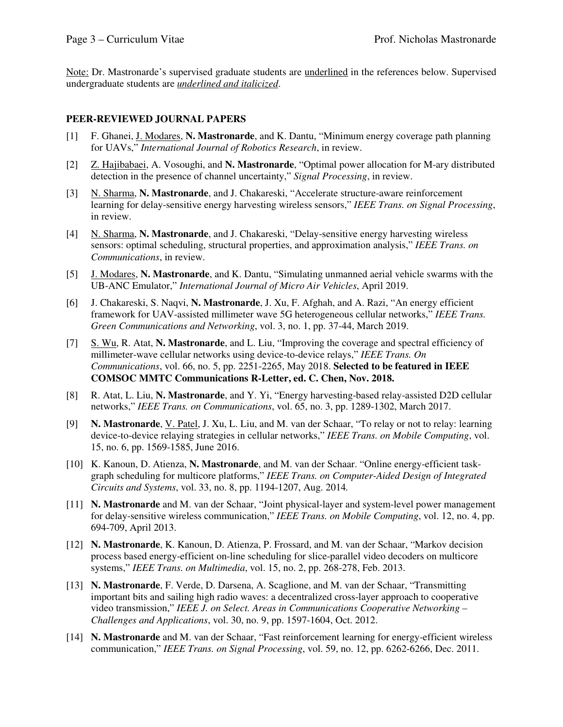Note: Dr. Mastronarde's supervised graduate students are *underlined* in the references below. Supervised undergraduate students are *underlined and italicized*.

### **PEER-REVIEWED JOURNAL PAPERS**

- [1] F. Ghanei, J. Modares, **N. Mastronarde**, and K. Dantu, "Minimum energy coverage path planning for UAVs," *International Journal of Robotics Research*, in review.
- [2] Z. Hajibabaei, A. Vosoughi, and **N. Mastronarde**, "Optimal power allocation for M-ary distributed detection in the presence of channel uncertainty," *Signal Processing*, in review.
- [3] N. Sharma, N. Mastronarde, and J. Chakareski, "Accelerate structure-aware reinforcement learning for delay-sensitive energy harvesting wireless sensors," *IEEE Trans. on Signal Processing*, in review.
- [4] N. Sharma, N. Mastronarde, and J. Chakareski, "Delay-sensitive energy harvesting wireless sensors: optimal scheduling, structural properties, and approximation analysis," *IEEE Trans. on Communications*, in review.
- [5] J. Modares, **N. Mastronarde**, and K. Dantu, "Simulating unmanned aerial vehicle swarms with the UB-ANC Emulator," *International Journal of Micro Air Vehicles*, April 2019.
- [6] J. Chakareski, S. Naqvi, **N. Mastronarde**, J. Xu, F. Afghah, and A. Razi, "An energy efficient framework for UAV-assisted millimeter wave 5G heterogeneous cellular networks," *IEEE Trans. Green Communications and Networking*, vol. 3, no. 1, pp. 37-44, March 2019.
- [7] S. Wu, R. Atat, **N. Mastronarde**, and L. Liu, "Improving the coverage and spectral efficiency of millimeter-wave cellular networks using device-to-device relays," *IEEE Trans. On Communications*, vol. 66, no. 5, pp. 2251-2265, May 2018. **Selected to be featured in IEEE COMSOC MMTC Communications R-Letter, ed. C. Chen, Nov. 2018.**
- [8] R. Atat, L. Liu, **N. Mastronarde**, and Y. Yi, "Energy harvesting-based relay-assisted D2D cellular  networks," *IEEE Trans. on Communications*, vol. 65, no. 3, pp. 1289-1302, March 2017.
- [9] **N. Mastronarde**, V. Patel, J. Xu, L. Liu, and M. van der Schaar, "To relay or not to relay: learning device-to-device relaying strategies in cellular networks," *IEEE Trans. on Mobile Computing*, vol. 15, no. 6, pp. 1569-1585, June 2016.
- [10] K. Kanoun, D. Atienza, **N. Mastronarde**, and M. van der Schaar. "Online energy-efficient task- graph scheduling for multicore platforms," *IEEE Trans. on Computer-Aided Design of Integrated Circuits and Systems*, vol. 33, no. 8, pp. 1194-1207, Aug. 2014*.*
- [11] **N. Mastronarde** and M. van der Schaar, "Joint physical-layer and system-level power management for delay-sensitive wireless communication," *IEEE Trans. on Mobile Computing*, vol. 12, no. 4, pp. 694-709, April 2013.
- [12] **N. Mastronarde**, K. Kanoun, D. Atienza, P. Frossard, and M. van der Schaar, "Markov decision process based energy-efficient on-line scheduling for slice-parallel video decoders on multicore  systems," *IEEE Trans. on Multimedia*, vol. 15, no. 2, pp. 268-278, Feb. 2013.
- [13] **N. Mastronarde**, F. Verde, D. Darsena, A. Scaglione, and M. van der Schaar, "Transmitting important bits and sailing high radio waves: a decentralized cross-layer approach to cooperative  video transmission," *IEEE J. on Select. Areas in Communications Cooperative Networking – Challenges and Applications*, vol. 30, no. 9, pp. 1597-1604, Oct. 2012.
- [14] **N. Mastronarde** and M. van der Schaar, "Fast reinforcement learning for energy-efficient wireless  communication," *IEEE Trans. on Signal Processing*, vol. 59, no. 12, pp. 6262-6266, Dec. 2011.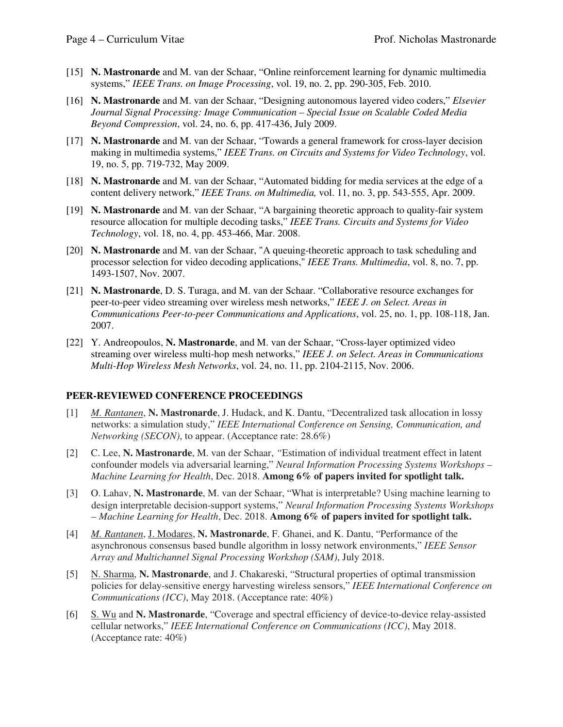- [15] **N. Mastronarde** and M. van der Schaar, "Online reinforcement learning for dynamic multimedia  systems," *IEEE Trans. on Image Processing*, vol. 19, no. 2, pp. 290-305, Feb. 2010.
- [16] **N. Mastronarde** and M. van der Schaar, "Designing autonomous layered video coders," *Elsevier Journal Signal Processing: Image Communication – Special Issue on Scalable Coded Media Beyond Compression*, vol. 24, no. 6, pp. 417-436, July 2009.
- [17] **N. Mastronarde** and M. van der Schaar, "Towards a general framework for cross-layer decision making in multimedia systems," *IEEE Trans. on Circuits and Systems for Video Technology*, vol. 19, no. 5, pp. 719-732, May 2009.
- [18] **N. Mastronarde** and M. van der Schaar, "Automated bidding for media services at the edge of a content delivery network," *IEEE Trans. on Multimedia,* vol. 11, no. 3, pp. 543-555, Apr. 2009.
- [19] **N. Mastronarde** and M. van der Schaar, "A bargaining theoretic approach to quality-fair system resource allocation for multiple decoding tasks," *IEEE Trans. Circuits and Systems for Video Technology*, vol. 18, no. 4, pp. 453-466, Mar. 2008.
- [20] **N. Mastronarde** and M. van der Schaar, "A queuing-theoretic approach to task scheduling and processor selection for video decoding applications," *IEEE Trans. Multimedia*, vol. 8, no. 7, pp. 1493-1507, Nov. 2007.
- [21] **N. Mastronarde**, D. S. Turaga, and M. van der Schaar. "Collaborative resource exchanges for peer-to-peer video streaming over wireless mesh networks," *IEEE J. on Select. Areas in Communications Peer-to-peer Communications and Applications*, vol. 25, no. 1, pp. 108-118, Jan. 2007.
- 2007. [22] Y. Andreopoulos, **N. Mastronarde**, and M. van der Schaar, "Cross-layer optimized video streaming over wireless multi-hop mesh networks," *IEEE J. on Select. Areas in Communications Multi-Hop Wireless Mesh Networks*, vol. 24, no. 11, pp. 2104-2115, Nov. 2006.

#### **PEER-REVIEWED CONFERENCE PROCEEDINGS**

- [1] *M. Rantanen*, **N. Mastronarde**, J. Hudack, and K. Dantu, "Decentralized task allocation in lossy networks: a simulation study," *IEEE International Conference on Sensing, Communication, and Networking (SECON)*, to appear. (Acceptance rate: 28.6%)
- [2] C. Lee, **N. Mastronarde**, M. van der Schaar, *"*Estimation of individual treatment effect in latent confounder models via adversarial learning," *Neural Information Processing Systems Workshops – Machine Learning for Health*, Dec. 2018. **Among 6% of papers invited for spotlight talk.**
- [3] O. Lahav, **N. Mastronarde**, M. van der Schaar, "What is interpretable? Using machine learning to design interpretable decision-support systems," *Neural Information Processing Systems Workshops – Machine Learning for Health*, Dec. 2018. **Among 6% of papers invited for spotlight talk.**
- [4] *M. Rantanen*, J. Modares, **N. Mastronarde**, F. Ghanei, and K. Dantu, "Performance of the asynchronous consensus based bundle algorithm in lossy network environments," *IEEE Sensor Array and Multichannel Signal Processing Workshop (SAM)*, July 2018.
- [5] N. Sharma, N. Mastronarde, and J. Chakareski, "Structural properties of optimal transmission policies for delay-sensitive energy harvesting wireless sensors," *IEEE International Conference on Communications (ICC)*, May 2018. (Acceptance rate: 40%)
- [6] S. Wu and **N. Mastronarde**, "Coverage and spectral efficiency of device-to-device relay-assisted cellular networks," *IEEE International Conference on Communications (ICC)*, May 2018. (Acceptance rate: 40%)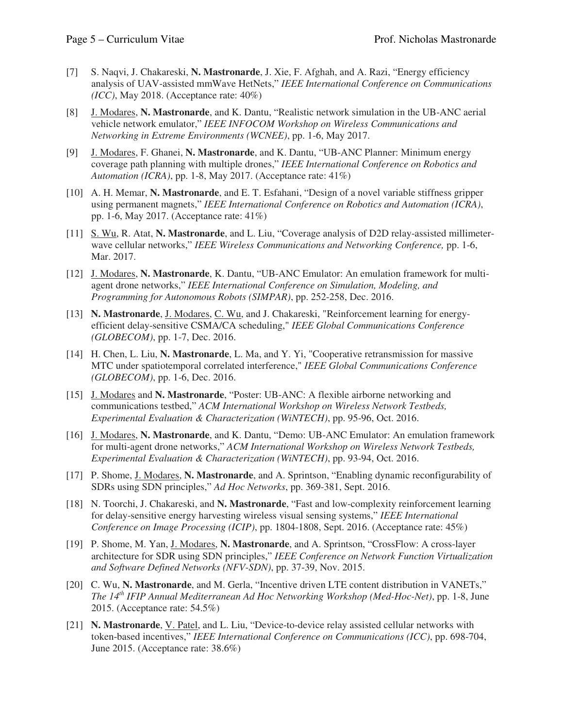- [7] S. Naqvi, J. Chakareski, **N. Mastronarde**, J. Xie, F. Afghah, and A. Razi, "Energy efficiency analysis of UAV-assisted mmWave HetNets," *IEEE International Conference on Communications (ICC)*, May 2018. (Acceptance rate: 40%)
- [8] J. Modares, **N. Mastronarde**, and K. Dantu, "Realistic network simulation in the UB-ANC aerial vehicle network emulator," *IEEE INFOCOM Workshop on Wireless Communications and Networking in Extreme Environments (WCNEE)*, pp. 1-6, May 2017.
- [9] J. Modares, F. Ghanei, **N. Mastronarde**, and K. Dantu, "UB-ANC Planner: Minimum energy coverage path planning with multiple drones," *IEEE International Conference on Robotics and Automation (ICRA)*, pp. 1-8, May 2017. (Acceptance rate: 41%)
- [10] A. H. Memar, **N. Mastronarde**, and E. T. Esfahani, "Design of a novel variable stiffness gripper using permanent magnets," *IEEE International Conference on Robotics and Automation (ICRA)*, pp. 1-6, May 2017. (Acceptance rate: 41%)
- [11] S. Wu, R. Atat, **N. Mastronarde**, and L. Liu, "Coverage analysis of D2D relay-assisted millimeter- wave cellular networks," *IEEE Wireless Communications and Networking Conference,* pp. 1-6, Mar. 2017.
- [12] J. Modares, **N. Mastronarde**, K. Dantu, "UB-ANC Emulator: An emulation framework for multi- agent drone networks," *IEEE International Conference on Simulation, Modeling, and Programming for Autonomous Robots (SIMPAR)*, pp. 252-258, Dec. 2016.
- [13] **N. Mastronarde**, J. Modares, C. Wu, and J. Chakareski, "Reinforcement learning for energy- efficient delay-sensitive CSMA/CA scheduling," *IEEE Global Communications Conference (GLOBECOM)*, pp. 1-7, Dec. 2016.
- [14] H. Chen, L. Liu, **N. Mastronarde**, L. Ma, and Y. Yi, "Cooperative retransmission for massive MTC under spatiotemporal correlated interference," *IEEE Global Communications Conference (GLOBECOM)*, pp. 1-6, Dec. 2016.
- [15] J. Modares and **N. Mastronarde**, "Poster: UB-ANC: A flexible airborne networking and communications testbed," *ACM International Workshop on Wireless Network Testbeds, Experimental Evaluation & Characterization (WiNTECH)*, pp. 95-96, Oct. 2016.
- [16] J. Modares, **N. Mastronarde**, and K. Dantu, "Demo: UB-ANC Emulator: An emulation framework for multi-agent drone networks," *ACM International Workshop on Wireless Network Testbeds, Experimental Evaluation & Characterization (WiNTECH)*, pp. 93-94, Oct. 2016.
- [17] P. Shome, J. Modares, **N. Mastronarde**, and A. Sprintson, "Enabling dynamic reconfigurability of SDRs using SDN principles," *Ad Hoc Networks*, pp. 369-381, Sept. 2016.
- [18] N. Toorchi, J. Chakareski, and **N. Mastronarde**, "Fast and low-complexity reinforcement learning for delay-sensitive energy harvesting wireless visual sensing systems," *IEEE International Conference on Image Processing (ICIP)*, pp. 1804-1808, Sept. 2016. (Acceptance rate: 45%)
- [19] P. Shome, M. Yan, J. Modares, **N. Mastronarde**, and A. Sprintson, "CrossFlow: A cross-layer architecture for SDR using SDN principles," *IEEE Conference on Network Function Virtualization and Software Defined Networks (NFV-SDN)*, pp. 37-39, Nov. 2015.
- [20] C. Wu, **N. Mastronarde**, and M. Gerla, "Incentive driven LTE content distribution in VANETs,"  *The 14th IFIP Annual Mediterranean Ad Hoc Networking Workshop (Med-Hoc-Net)*, pp. 1-8, June 2015. (Acceptance rate: 54.5%)
- [21] **N. Mastronarde**, V. Patel, and L. Liu, "Device-to-device relay assisted cellular networks with token-based incentives," *IEEE International Conference on Communications (ICC)*, pp. 698-704, June 2015. (Acceptance rate: 38.6%)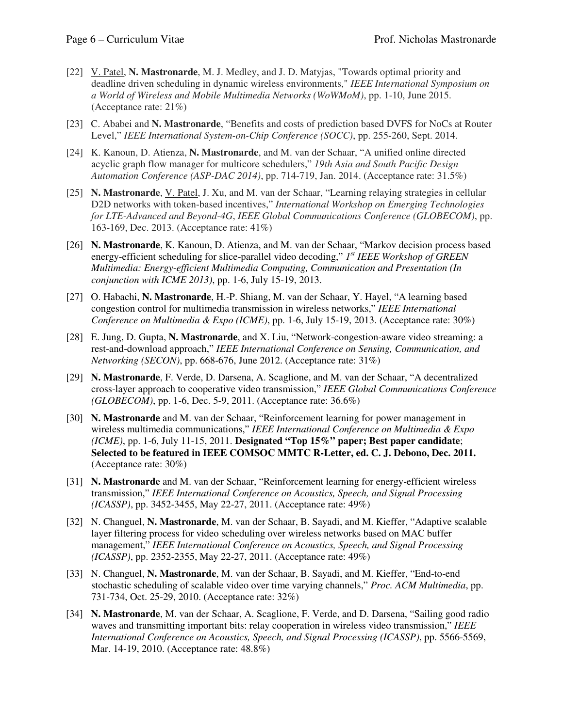- [22] V. Patel, N. Mastronarde, M. J. Medley, and J. D. Matyjas, "Towards optimal priority and deadline driven scheduling in dynamic wireless environments," *IEEE International Symposium on a World of Wireless and Mobile Multimedia Networks (WoWMoM)*, pp. 1-10, June 2015. (Acceptance rate: 21%)
- [23] C. Ababei and **N. Mastronarde**, "Benefits and costs of prediction based DVFS for NoCs at Router  Level," *IEEE International System-on-Chip Conference (SOCC)*, pp. 255-260, Sept. 2014.
- [24] K. Kanoun, D. Atienza, **N. Mastronarde**, and M. van der Schaar, "A unified online directed acyclic graph flow manager for multicore schedulers," *19th Asia and South Pacific Design Automation Conference (ASP-DAC 2014)*, pp. 714-719, Jan. 2014. (Acceptance rate: 31.5%)
- [25] **N. Mastronarde**, V. Patel, J. Xu, and M. van der Schaar, "Learning relaying strategies in cellular D2D networks with token-based incentives," *International Workshop on Emerging Technologies for LTE-Advanced and Beyond-4G*, *IEEE Global Communications Conference (GLOBECOM)*, pp. 163-169, Dec. 2013. (Acceptance rate: 41%)
- [26] **N. Mastronarde**, K. Kanoun, D. Atienza, and M. van der Schaar, "Markov decision process based energy-efficient scheduling for slice-parallel video decoding," *1st IEEE Workshop of GREEN Multimedia: Energy-efficient Multimedia Computing, Communication and Presentation (In conjunction with ICME 2013)*, pp. 1-6, July 15-19, 2013.
- [27] O. Habachi, **N. Mastronarde**, H.-P. Shiang, M. van der Schaar, Y. Hayel, "A learning based congestion control for multimedia transmission in wireless networks," *IEEE International Conference on Multimedia & Expo (ICME)*, pp. 1-6, July 15-19, 2013. (Acceptance rate: 30%)
- [28] E. Jung, D. Gupta, **N. Mastronarde**, and X. Liu, "Network-congestion-aware video streaming: a rest-and-download approach," *IEEE International Conference on Sensing, Communication, and Networking (SECON)*, pp. 668-676, June 2012. (Acceptance rate: 31%)
- [29] **N. Mastronarde**, F. Verde, D. Darsena, A. Scaglione, and M. van der Schaar, "A decentralized cross-layer approach to cooperative video transmission," *IEEE Global Communications Conference (GLOBECOM)*, pp. 1-6, Dec. 5-9, 2011. (Acceptance rate: 36.6%)
- [30] **N. Mastronarde** and M. van der Schaar, "Reinforcement learning for power management in wireless multimedia communications," *IEEE International Conference on Multimedia & Expo (ICME)*, pp. 1-6, July 11-15, 2011. **Designated "Top 15%" paper; Best paper candidate**;  **Selected to be featured in IEEE COMSOC MMTC R-Letter, ed. C. J. Debono, Dec. 2011.**  (Acceptance rate: 30%)
- [31] **N. Mastronarde** and M. van der Schaar, "Reinforcement learning for energy-efficient wireless  transmission," *IEEE International Conference on Acoustics, Speech, and Signal Processing (ICASSP)*, pp. 3452-3455, May 22-27, 2011. (Acceptance rate: 49%)
- [32] N. Changuel, **N. Mastronarde**, M. van der Schaar, B. Sayadi, and M. Kieffer, "Adaptive scalable layer filtering process for video scheduling over wireless networks based on MAC buffer management," IEEE International Conference on Acoustics, Speech, and Signal Processing *(ICASSP)*, pp. 2352-2355, May 22-27, 2011. (Acceptance rate: 49%)
- [33] N. Changuel, N. Mastronarde, M. van der Schaar, B. Sayadi, and M. Kieffer, "End-to-end stochastic scheduling of scalable video over time varying channels," *Proc. ACM Multimedia*, pp. 731-734, Oct. 25-29, 2010. (Acceptance rate: 32%)
- [34] **N. Mastronarde**, M. van der Schaar, A. Scaglione, F. Verde, and D. Darsena, "Sailing good radio waves and transmitting important bits: relay cooperation in wireless video transmission," *IEEE International Conference on Acoustics, Speech, and Signal Processing (ICASSP)*, pp. 5566-5569, Mar. 14-19, 2010. (Acceptance rate: 48.8%)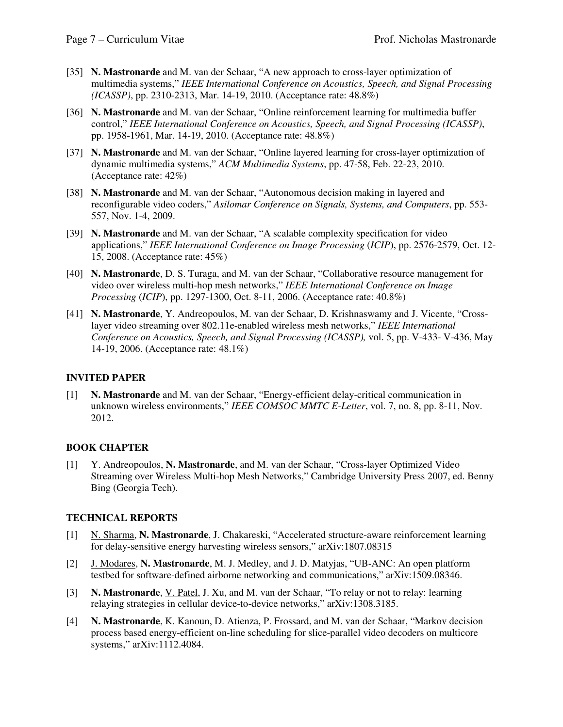- [35] **N. Mastronarde** and M. van der Schaar, "A new approach to cross-layer optimization of multimedia systems," *IEEE International Conference on Acoustics, Speech, and Signal Processing (ICASSP)*, pp. 2310-2313, Mar. 14-19, 2010. (Acceptance rate: 48.8%)
- [36] **N. Mastronarde** and M. van der Schaar, "Online reinforcement learning for multimedia buffer  control," *IEEE International Conference on Acoustics, Speech, and Signal Processing (ICASSP)*, pp. 1958-1961, Mar. 14-19, 2010. (Acceptance rate: 48.8%)
- [37] **N. Mastronarde** and M. van der Schaar, "Online layered learning for cross-layer optimization of dynamic multimedia systems," *ACM Multimedia Systems*, pp. 47-58, Feb. 22-23, 2010. (Acceptance rate: 42%)
- [38] **N. Mastronarde** and M. van der Schaar, "Autonomous decision making in layered and reconfigurable video coders," *Asilomar Conference on Signals, Systems, and Computers*, pp. 553- 557, Nov. 1-4, 2009.
- [39] **N. Mastronarde** and M. van der Schaar, "A scalable complexity specification for video  applications," *IEEE International Conference on Image Processing* (*ICIP*), pp. 2576-2579, Oct. 12- 15, 2008. (Acceptance rate: 45%)
- [40] **N. Mastronarde**, D. S. Turaga, and M. van der Schaar, "Collaborative resource management for video over wireless multi-hop mesh networks," *IEEE International Conference on Image Processing* (*ICIP*), pp. 1297-1300, Oct. 8-11, 2006. (Acceptance rate: 40.8%)
- [41] **N. Mastronarde**, Y. Andreopoulos, M. van der Schaar, D. Krishnaswamy and J. Vicente, "Cross- layer video streaming over 802.11e-enabled wireless mesh networks," *IEEE International Conference on Acoustics, Speech, and Signal Processing (ICASSP),* vol. 5, pp. V-433- V-436, May 14-19, 2006. (Acceptance rate: 48.1%)

### **INVITED PAPER**

 [1] **N. Mastronarde** and M. van der Schaar, "Energy-efficient delay-critical communication in unknown wireless environments," *IEEE COMSOC MMTC E-Letter*, vol. 7, no. 8, pp. 8-11, Nov. 2012.

### **BOOK CHAPTER**

 $\lceil 1 \rceil$  Streaming over Wireless Multi-hop Mesh Networks," Cambridge University Press 2007, ed. Benny Bing (Georgia Tech). [1] Y. Andreopoulos, **N. Mastronarde**, and M. van der Schaar, "Cross-layer Optimized Video

### **TECHNICAL REPORTS**

- [1] N. Sharma, N. Mastronarde, J. Chakareski, "Accelerated structure-aware reinforcement learning for delay-sensitive energy harvesting wireless sensors," arXiv:1807.08315
- [2] J. Modares, **N. Mastronarde**, M. J. Medley, and J. D. Matyjas, "UB-ANC: An open platform testbed for software-defined airborne networking and communications," arXiv:1509.08346.
- [3] **N. Mastronarde**, V. Patel, J. Xu, and M. van der Schaar, "To relay or not to relay: learning relaying strategies in cellular device-to-device networks," arXiv:1308.3185.
- [4] **N. Mastronarde**, K. Kanoun, D. Atienza, P. Frossard, and M. van der Schaar, "Markov decision process based energy-efficient on-line scheduling for slice-parallel video decoders on multicore systems," arXiv:1112.4084.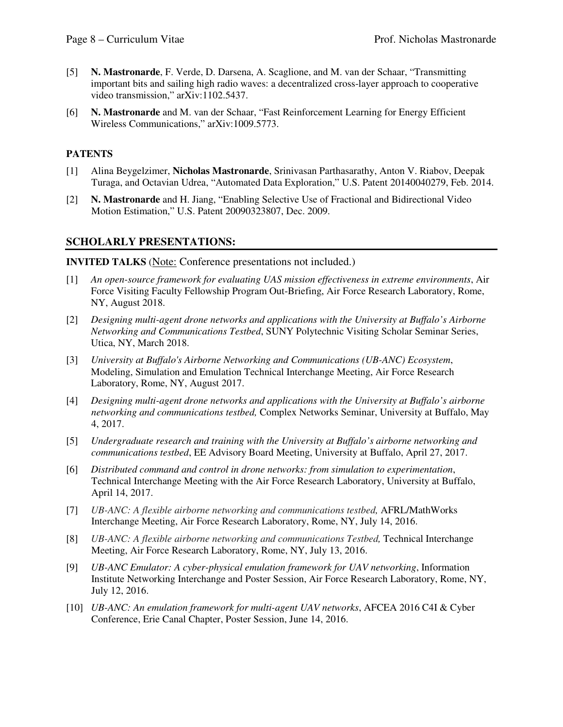- [5] **N. Mastronarde**, F. Verde, D. Darsena, A. Scaglione, and M. van der Schaar, "Transmitting important bits and sailing high radio waves: a decentralized cross-layer approach to cooperative video transmission," arXiv:1102.5437.
- [6] **N. Mastronarde** and M. van der Schaar, "Fast Reinforcement Learning for Energy Efficient Wireless Communications," arXiv:1009.5773.

### **PATENTS**

- [1] Alina Beygelzimer, **Nicholas Mastronarde**, Srinivasan Parthasarathy, Anton V. Riabov, Deepak Turaga, and Octavian Udrea, "Automated Data Exploration," U.S. Patent 20140040279, Feb. 2014.
- [2] **N. Mastronarde** and H. Jiang, "Enabling Selective Use of Fractional and Bidirectional Video Motion Estimation," U.S. Patent 20090323807, Dec. 2009.

### **SCHOLARLY PRESENTATIONS:**

**INVITED TALKS** (Note: Conference presentations not included.)

- [1] *An open-source framework for evaluating UAS mission effectiveness in extreme environments*, Air Force Visiting Faculty Fellowship Program Out-Briefing, Air Force Research Laboratory, Rome, NY, August 2018.
- [2] *Designing multi-agent drone networks and applications with the University at Buffalo's Airborne Networking and Communications Testbed*, SUNY Polytechnic Visiting Scholar Seminar Series, Utica, NY, March 2018.
- [3] *University at Buffalo's Airborne Networking and Communications (UB-ANC) Ecosystem*, Modeling, Simulation and Emulation Technical Interchange Meeting, Air Force Research Laboratory, Rome, NY, August 2017.
- [4] *Designing multi-agent drone networks and applications with the University at Buffalo's airborne networking and communications testbed,* Complex Networks Seminar, University at Buffalo, May 4, 2017.
- [5] *Undergraduate research and training with the University at Buffalo's airborne networking and communications testbed*, EE Advisory Board Meeting, University at Buffalo, April 27, 2017.
- [6] *Distributed command and control in drone networks: from simulation to experimentation*, Technical Interchange Meeting with the Air Force Research Laboratory, University at Buffalo, April 14, 2017.
- [7] *UB-ANC: A flexible airborne networking and communications testbed, AFRL/MathWorks* Interchange Meeting, Air Force Research Laboratory, Rome, NY, July 14, 2016.
- [8] *UB-ANC: A flexible airborne networking and communications Testbed, Technical Interchange* Meeting, Air Force Research Laboratory, Rome, NY, July 13, 2016.
- [9] *UB-ANC Emulator: A cyber-physical emulation framework for UAV networking*, Information Institute Networking Interchange and Poster Session, Air Force Research Laboratory, Rome, NY, July 12, 2016.
- [10] *UB-ANC: An emulation framework for multi-agent UAV networks*, AFCEA 2016 C4I & Cyber Conference, Erie Canal Chapter, Poster Session, June 14, 2016.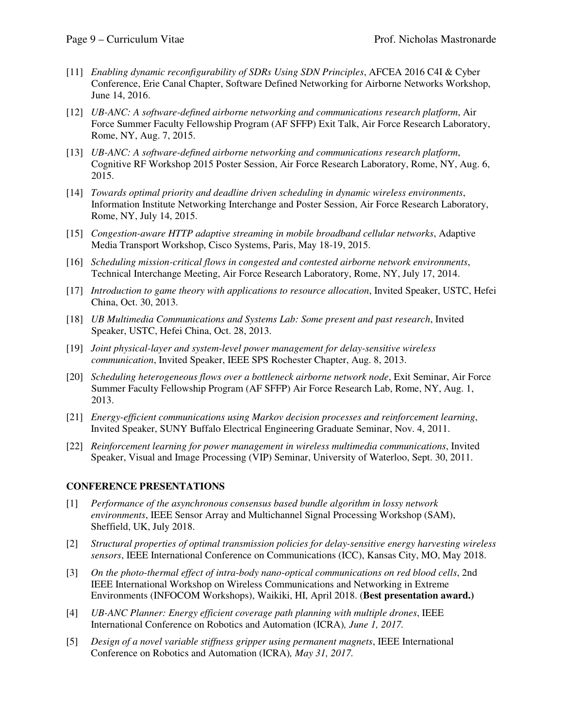- [11] *Enabling dynamic reconfigurability of SDRs Using SDN Principles*, AFCEA 2016 C4I & Cyber Conference, Erie Canal Chapter, Software Defined Networking for Airborne Networks Workshop, June 14, 2016.
- [12] *UB-ANC: A software-defined airborne networking and communications research platform*, Air Force Summer Faculty Fellowship Program (AF SFFP) Exit Talk, Air Force Research Laboratory, Rome, NY, Aug. 7, 2015.
- [13] *UB-ANC: A software-defined airborne networking and communications research platform*, Cognitive RF Workshop 2015 Poster Session, Air Force Research Laboratory, Rome, NY, Aug. 6, 2015.
- [14] *Towards optimal priority and deadline driven scheduling in dynamic wireless environments*, Information Institute Networking Interchange and Poster Session, Air Force Research Laboratory, Rome, NY, July 14, 2015.
- [15] *Congestion-aware HTTP adaptive streaming in mobile broadband cellular networks*, Adaptive Media Transport Workshop, Cisco Systems, Paris, May 18-19, 2015.
- [16] *Scheduling mission-critical flows in congested and contested airborne network environments*, Technical Interchange Meeting, Air Force Research Laboratory, Rome, NY, July 17, 2014.
- [17] *Introduction to game theory with applications to resource allocation*, Invited Speaker, USTC, Hefei China, Oct. 30, 2013.
- [18] *UB Multimedia Communications and Systems Lab: Some present and past research*, Invited Speaker, USTC, Hefei China, Oct. 28, 2013.
- [19] *Joint physical-layer and system-level power management for delay-sensitive wireless communication*, Invited Speaker, IEEE SPS Rochester Chapter, Aug. 8, 2013.
- [20] *Scheduling heterogeneous flows over a bottleneck airborne network node*, Exit Seminar, Air Force Summer Faculty Fellowship Program (AF SFFP) Air Force Research Lab, Rome, NY, Aug. 1, 2013.
- [21] *Energy-efficient communications using Markov decision processes and reinforcement learning*, Invited Speaker, SUNY Buffalo Electrical Engineering Graduate Seminar, Nov. 4, 2011.
- [22] *Reinforcement learning for power management in wireless multimedia communications*, Invited Speaker, Visual and Image Processing (VIP) Seminar, University of Waterloo, Sept. 30, 2011.

### **CONFERENCE PRESENTATIONS**

- [1] *Performance of the asynchronous consensus based bundle algorithm in lossy network environments*, IEEE Sensor Array and Multichannel Signal Processing Workshop (SAM), Sheffield, UK, July 2018.
- [2] *Structural properties of optimal transmission policies for delay-sensitive energy harvesting wireless sensors*, IEEE International Conference on Communications (ICC), Kansas City, MO, May 2018.
- [3] *On the photo-thermal effect of intra-body nano-optical communications on red blood cells*, 2nd IEEE International Workshop on Wireless Communications and Networking in Extreme Environments (INFOCOM Workshops), Waikiki, HI, April 2018. (**Best presentation award.)**
- [4] *UB-ANC Planner: Energy efficient coverage path planning with multiple drones*, IEEE International Conference on Robotics and Automation (ICRA)*, June 1, 2017.*
- [5] *Design of a novel variable stiffness gripper using permanent magnets*, IEEE International Conference on Robotics and Automation (ICRA)*, May 31, 2017.*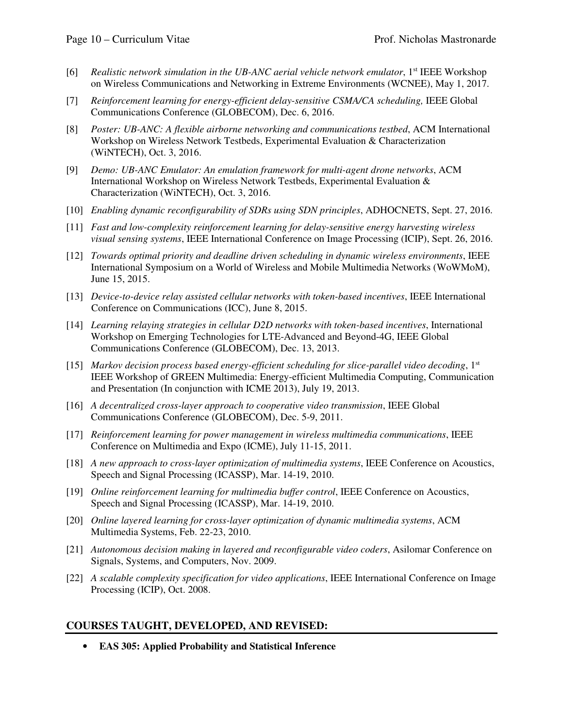- [6] Realistic network simulation in the UB-ANC aerial vehicle network emulator, 1<sup>st</sup> IEEE Workshop on Wireless Communications and Networking in Extreme Environments (WCNEE), May 1, 2017.
- [7] Reinforcement learning for energy-efficient delay-sensitive CSMA/CA scheduling, IEEE Global Communications Conference (GLOBECOM), Dec. 6, 2016.
- [8] *Poster: UB-ANC: A flexible airborne networking and communications testbed*, ACM International Workshop on Wireless Network Testbeds, Experimental Evaluation & Characterization (WiNTECH), Oct. 3, 2016.
- [9] *Demo: UB-ANC Emulator: An emulation framework for multi-agent drone networks*, ACM International Workshop on Wireless Network Testbeds, Experimental Evaluation & Characterization (WiNTECH), Oct. 3, 2016.
- [10] *Enabling dynamic reconfigurability of SDRs using SDN principles*, ADHOCNETS, Sept. 27, 2016.
- [11] *Fast and low-complexity reinforcement learning for delay-sensitive energy harvesting wireless visual sensing systems*, IEEE International Conference on Image Processing (ICIP), Sept. 26, 2016.
- [12] *Towards optimal priority and deadline driven scheduling in dynamic wireless environments*, IEEE International Symposium on a World of Wireless and Mobile Multimedia Networks (WoWMoM), June 15, 2015.
- [13] *Device-to-device relay assisted cellular networks with token-based incentives*, IEEE International Conference on Communications (ICC), June 8, 2015.
- [14] *Learning relaying strategies in cellular D2D networks with token-based incentives*, International Workshop on Emerging Technologies for LTE-Advanced and Beyond-4G, IEEE Global Communications Conference (GLOBECOM), Dec. 13, 2013.
- [15] *Markov decision process based energy-efficient scheduling for slice-parallel video decoding*, 1<sup>st</sup> IEEE Workshop of GREEN Multimedia: Energy-efficient Multimedia Computing, Communication and Presentation (In conjunction with ICME 2013), July 19, 2013.
- [16] A decentralized cross-layer approach to cooperative video transmission, IEEE Global Communications Conference (GLOBECOM), Dec. 5-9, 2011.
- [17] *Reinforcement learning for power management in wireless multimedia communications*, IEEE Conference on Multimedia and Expo (ICME), July 11-15, 2011.
- [18] *A new approach to cross-layer optimization of multimedia systems*, IEEE Conference on Acoustics, Speech and Signal Processing (ICASSP), Mar. 14-19, 2010.
- [19] *Online reinforcement learning for multimedia buffer control*, IEEE Conference on Acoustics, Speech and Signal Processing (ICASSP), Mar. 14-19, 2010.
- [20] *Online layered learning for cross-layer optimization of dynamic multimedia systems*, ACM Multimedia Systems, Feb. 22-23, 2010.
- [21] Autonomous decision making in layered and reconfigurable video coders, Asilomar Conference on Signals, Systems, and Computers, Nov. 2009.
- [22] *A scalable complexity specification for video applications*, IEEE International Conference on Image Processing (ICIP), Oct. 2008.

### **COURSES TAUGHT, DEVELOPED, AND REVISED:**

 • **EAS 305: Applied Probability and Statistical Inference**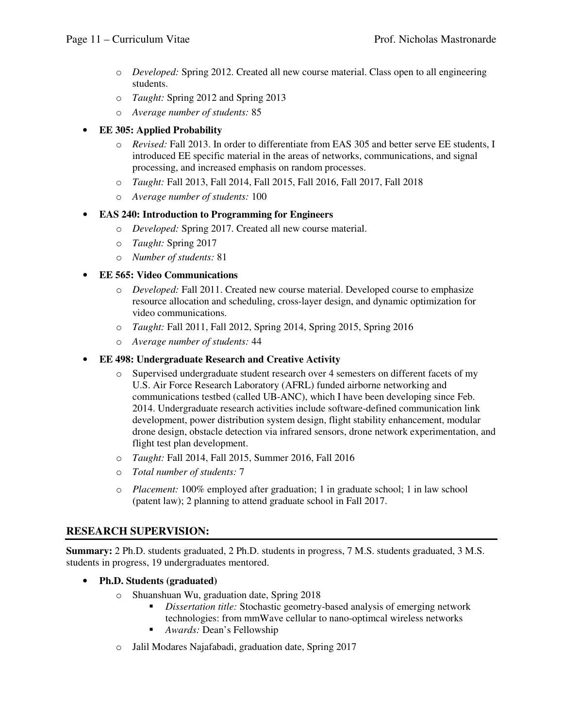- o *Developed:* Spring 2012. Created all new course material. Class open to all engineering students.
- o *Taught:* Spring 2012 and Spring 2013
- o *Average number of students:* 85

### • **EE 305: Applied Probability**

- o *Revised:* Fall 2013. In order to differentiate from EAS 305 and better serve EE students, I introduced EE specific material in the areas of networks, communications, and signal processing, and increased emphasis on random processes.
- o *Taught:* Fall 2013, Fall 2014, Fall 2015, Fall 2016, Fall 2017, Fall 2018
- o *Average number of students:* 100

### • **EAS 240: Introduction to Programming for Engineers**

- o *Developed:* Spring 2017. Created all new course material.
- o *Taught:* Spring 2017
- o *Number of students:* 81

### • **EE 565: Video Communications**

- o *Developed:* Fall 2011. Created new course material. Developed course to emphasize resource allocation and scheduling, cross-layer design, and dynamic optimization for video communications.
- o *Taught:* Fall 2011, Fall 2012, Spring 2014, Spring 2015, Spring 2016
- o *Average number of students:* 44

### • **EE 498: Undergraduate Research and Creative Activity**

- o Supervised undergraduate student research over 4 semesters on different facets of my U.S. Air Force Research Laboratory (AFRL) funded airborne networking and communications testbed (called UB-ANC), which I have been developing since Feb. 2014. Undergraduate research activities include software-defined communication link development, power distribution system design, flight stability enhancement, modular drone design, obstacle detection via infrared sensors, drone network experimentation, and flight test plan development.
- o *Taught:* Fall 2014, Fall 2015, Summer 2016, Fall 2016
- o *Total number of students:* 7
- o *Placement:* 100% employed after graduation; 1 in graduate school; 1 in law school (patent law); 2 planning to attend graduate school in Fall 2017.

### **RESEARCH SUPERVISION:**

 **Summary:** 2 Ph.D. students graduated, 2 Ph.D. students in progress, 7 M.S. students graduated, 3 M.S. students in progress, 19 undergraduates mentored.

- **Ph.D. Students (graduated)** 
	- o Shuanshuan Wu, graduation date, Spring 2018
		- **•** *Dissertation title:* Stochastic geometry-based analysis of emerging network technologies: from mmWave cellular to nano-optimcal wireless networks
		- *Awards:* Dean's Fellowship
	- o Jalil Modares Najafabadi, graduation date, Spring 2017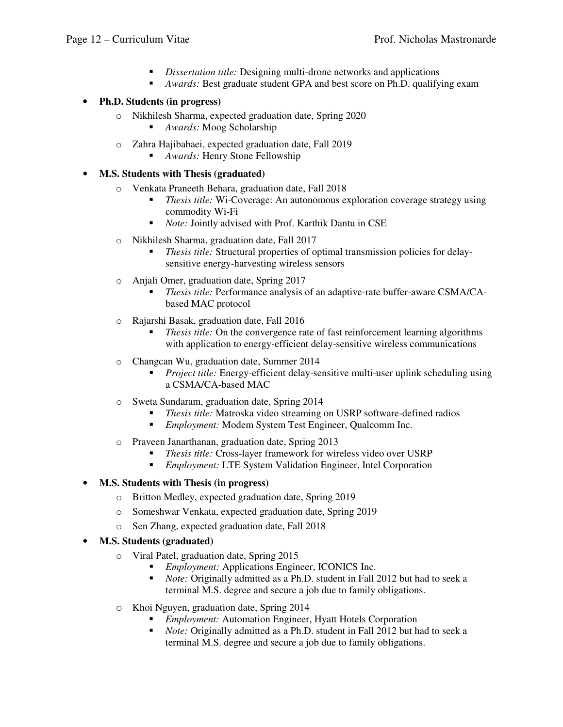- *Dissertation title:* Designing multi-drone networks and applications
- *Awards:* Best graduate student GPA and best score on Ph.D. qualifying exam

### • **Ph.D. Students (in progress)**

- o Nikhilesh Sharma, expected graduation date, Spring 2020
	- *Awards:* Moog Scholarship
- o Zahra Hajibabaei, expected graduation date, Fall 2019
	- *Awards:* Henry Stone Fellowship
- **M.S. Students with Thesis (graduated)** 
	- o Venkata Praneeth Behara, graduation date, Fall 2018
		- • *Thesis title:* Wi-Coverage: An autonomous exploration coverage strategy using commodity Wi-Fi
		- *Note:* Jointly advised with Prof. Karthik Dantu in CSE
	- o Nikhilesh Sharma, graduation date, Fall 2017
		- **•** *Thesis title:* Structural properties of optimal transmission policies for delay-sensitive energy-harvesting wireless sensors
	- o Anjali Omer, graduation date, Spring 2017
		- **•** *Thesis title:* Performance analysis of an adaptive-rate buffer-aware CSMA/CA-based MAC protocol
	- o Rajarshi Basak, graduation date, Fall 2016
		- • *Thesis title:* On the convergence rate of fast reinforcement learning algorithms with application to energy-efficient delay-sensitive wireless communications
	- o Changcan Wu, graduation date, Summer 2014
		- **•** *Project title:* Energy-efficient delay-sensitive multi-user uplink scheduling using a CSMA/CA-based MAC
	- o Sweta Sundaram, graduation date, Spring 2014
		- *Thesis title:* Matroska video streaming on USRP software-defined radios
		- *Employment:* Modem System Test Engineer, Qualcomm Inc.
	- o Praveen Janarthanan, graduation date, Spring 2013
		- *Thesis title:* Cross-layer framework for wireless video over USRP
		- *Employment:* LTE System Validation Engineer, Intel Corporation

# • **M.S. Students with Thesis (in progress)**

- o Britton Medley, expected graduation date, Spring 2019
- o Someshwar Venkata, expected graduation date, Spring 2019
- o Sen Zhang, expected graduation date, Fall 2018
- **M.S. Students (graduated)** 
	- o Viral Patel, graduation date, Spring 2015
		- *Employment:* Applications Engineer, ICONICS Inc.
		- *Note:* Originally admitted as a Ph.D. student in Fall 2012 but had to seek a terminal M.S. degree and secure a job due to family obligations.
	- o Khoi Nguyen, graduation date, Spring 2014
		- *Employment:* Automation Engineer, Hyatt Hotels Corporation
		- *Note:* Originally admitted as a Ph.D. student in Fall 2012 but had to seek a terminal M.S. degree and secure a job due to family obligations.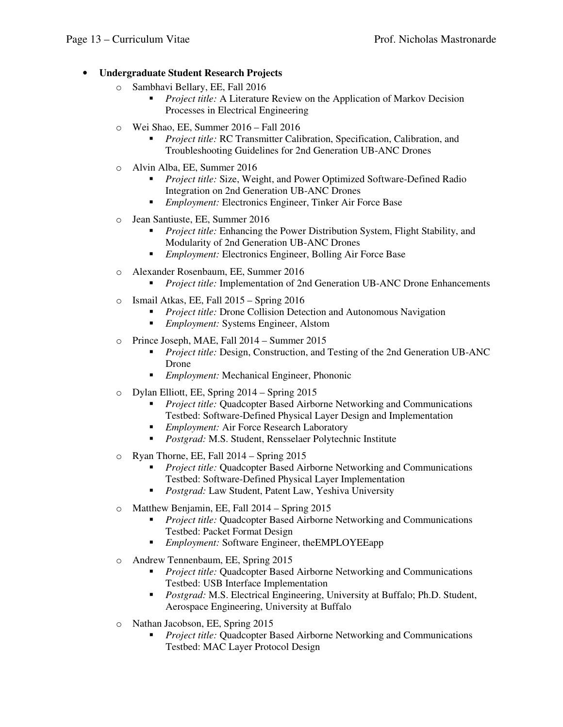# • **Undergraduate Student Research Projects**

- o Sambhavi Bellary, EE, Fall 2016
	- **•** *Project title:* A Literature Review on the Application of Markov Decision Processes in Electrical Engineering
- o Wei Shao, EE, Summer 2016 Fall 2016
	- • *Project title:* RC Transmitter Calibration, Specification, Calibration, and Troubleshooting Guidelines for 2nd Generation UB-ANC Drones
- o Alvin Alba, EE, Summer 2016
	- • *Project title:* Size, Weight, and Power Optimized Software-Defined Radio Integration on 2nd Generation UB-ANC Drones
	- *Employment:* Electronics Engineer, Tinker Air Force Base
- o Jean Santiuste, EE, Summer 2016
	- • *Project title:* Enhancing the Power Distribution System, Flight Stability, and Modularity of 2nd Generation UB-ANC Drones
	- *Employment:* Electronics Engineer, Bolling Air Force Base
- o Alexander Rosenbaum, EE, Summer 2016
	- *Project title:* Implementation of 2nd Generation UB-ANC Drone Enhancements
- o Ismail Atkas, EE, Fall 2015 Spring 2016
	- **•** *Project title:* Drone Collision Detection and Autonomous Navigation
	- *Employment:* Systems Engineer, Alstom
- o Prince Joseph, MAE, Fall 2014 Summer 2015
	- • *Project title:* Design, Construction, and Testing of the 2nd Generation UB-ANC Drone
	- *Employment:* Mechanical Engineer, Phononic
- o Dylan Elliott, EE, Spring 2014 Spring 2015
	- • *Project title:* Quadcopter Based Airborne Networking and Communications Testbed: Software-Defined Physical Layer Design and Implementation
	- *Employment:* Air Force Research Laboratory
	- *Postgrad:* M.S. Student, Rensselaer Polytechnic Institute
- o Ryan Thorne, EE, Fall 2014 Spring 2015
	- **•** *Project title:* Quadcopter Based Airborne Networking and Communications Testbed: Software-Defined Physical Layer Implementation
	- *Postgrad:* Law Student, Patent Law, Yeshiva University
- o Matthew Benjamin, EE, Fall 2014 Spring 2015
	- • *Project title:* Quadcopter Based Airborne Networking and Communications Testbed: Packet Format Design
	- *Employment:* Software Engineer, theEMPLOYEEapp
- o Andrew Tennenbaum, EE, Spring 2015
	- • *Project title:* Quadcopter Based Airborne Networking and Communications Testbed: USB Interface Implementation
	- • *Postgrad:* M.S. Electrical Engineering, University at Buffalo; Ph.D. Student, Aerospace Engineering, University at Buffalo
- o Nathan Jacobson, EE, Spring 2015
	- • *Project title:* Quadcopter Based Airborne Networking and Communications Testbed: MAC Layer Protocol Design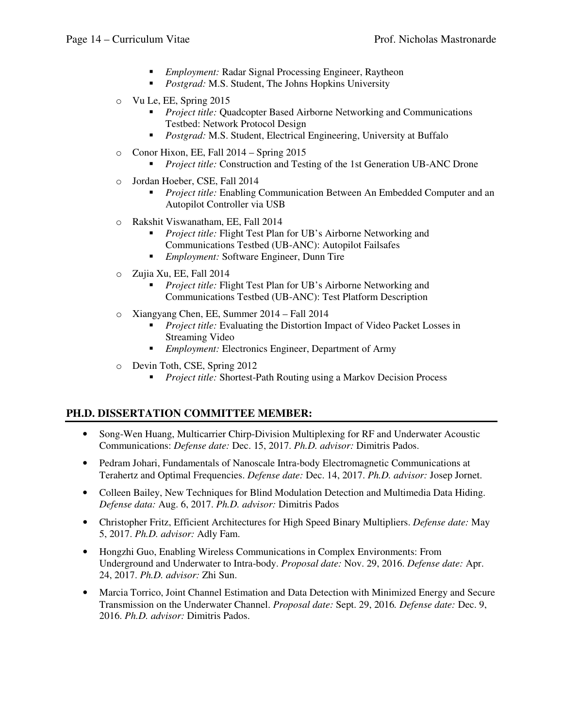- *Employment:* Radar Signal Processing Engineer, Raytheon
- *Postgrad:* M.S. Student, The Johns Hopkins University
- o Vu Le, EE, Spring 2015
	- • *Project title:* Quadcopter Based Airborne Networking and Communications Testbed: Network Protocol Design
	- *Postgrad:* M.S. Student, Electrical Engineering, University at Buffalo
- o Conor Hixon, EE, Fall 2014 Spring 2015
	- *Project title:* Construction and Testing of the 1st Generation UB-ANC Drone
- o Jordan Hoeber, CSE, Fall 2014
	- • *Project title:* Enabling Communication Between An Embedded Computer and an Autopilot Controller via USB
- o Rakshit Viswanatham, EE, Fall 2014
	- • *Project title:* Flight Test Plan for UB's Airborne Networking and Communications Testbed (UB-ANC): Autopilot Failsafes
	- *Employment:* Software Engineer, Dunn Tire
- o Zujia Xu, EE, Fall 2014
	- • *Project title:* Flight Test Plan for UB's Airborne Networking and Communications Testbed (UB-ANC): Test Platform Description
- o Xiangyang Chen, EE, Summer 2014 Fall 2014
	- **•** *Project title:* Evaluating the Distortion Impact of Video Packet Losses in Streaming Video
	- *Employment:* Electronics Engineer, Department of Army
- o Devin Toth, CSE, Spring 2012
	- **•** *Project title:* Shortest-Path Routing using a Markov Decision Process

### **PH.D. DISSERTATION COMMITTEE MEMBER:**

- • Song-Wen Huang, Multicarrier Chirp-Division Multiplexing for RF and Underwater Acoustic Communications: *Defense date:* Dec. 15, 2017. *Ph.D. advisor:* Dimitris Pados.
- • Pedram Johari, Fundamentals of Nanoscale Intra-body Electromagnetic Communications at Terahertz and Optimal Frequencies. *Defense date:* Dec. 14, 2017. *Ph.D. advisor:* Josep Jornet.
- • Colleen Bailey, New Techniques for Blind Modulation Detection and Multimedia Data Hiding.  *Defense data:* Aug. 6, 2017. *Ph.D. advisor:* Dimitris Pados
- • Christopher Fritz, Efficient Architectures for High Speed Binary Multipliers. *Defense date:* May 5, 2017. *Ph.D. advisor:* Adly Fam.
- • Hongzhi Guo, Enabling Wireless Communications in Complex Environments: From Underground and Underwater to Intra-body. *Proposal date:* Nov. 29, 2016. *Defense date:* Apr. 24, 2017. *Ph.D. advisor:* Zhi Sun.
- • Marcia Torrico, Joint Channel Estimation and Data Detection with Minimized Energy and Secure Transmission on the Underwater Channel. *Proposal date:* Sept. 29, 2016*. Defense date:* Dec. 9,  2016. *Ph.D. advisor:* Dimitris Pados.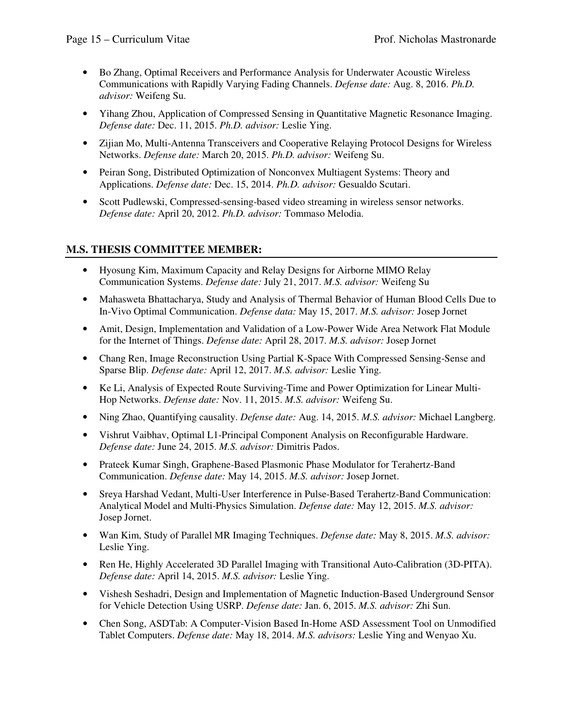- • Bo Zhang, Optimal Receivers and Performance Analysis for Underwater Acoustic Wireless Communications with Rapidly Varying Fading Channels. *Defense date:* Aug. 8, 2016. *Ph.D. advisor:* Weifeng Su.
- • Yihang Zhou, Application of Compressed Sensing in Quantitative Magnetic Resonance Imaging. *Defense date:* Dec. 11, 2015. *Ph.D. advisor:* Leslie Ying.
- • Zijian Mo, Multi-Antenna Transceivers and Cooperative Relaying Protocol Designs for Wireless Networks. *Defense date:* March 20, 2015. *Ph.D. advisor:* Weifeng Su.
- • Peiran Song, Distributed Optimization of Nonconvex Multiagent Systems: Theory and Applications. *Defense date:* Dec. 15, 2014. *Ph.D. advisor:* Gesualdo Scutari.
- • Scott Pudlewski, Compressed-sensing-based video streaming in wireless sensor networks. *Defense date:* April 20, 2012. *Ph.D. advisor:* Tommaso Melodia.

# **M.S. THESIS COMMITTEE MEMBER:**

- • Hyosung Kim, Maximum Capacity and Relay Designs for Airborne MIMO Relay Communication Systems. *Defense date:* July 21, 2017. *M.S. advisor:* Weifeng Su
- • Mahasweta Bhattacharya, Study and Analysis of Thermal Behavior of Human Blood Cells Due to In-Vivo Optimal Communication. *Defense data:* May 15, 2017. *M.S. advisor:* Josep Jornet
- • Amit, Design, Implementation and Validation of a Low-Power Wide Area Network Flat Module for the Internet of Things. *Defense date:* April 28, 2017. *M.S. advisor:* Josep Jornet
- • Chang Ren, Image Reconstruction Using Partial K-Space With Compressed Sensing-Sense and Sparse Blip. *Defense date:* April 12, 2017. *M.S. advisor:* Leslie Ying.
- • Ke Li, Analysis of Expected Route Surviving-Time and Power Optimization for Linear Multi-Hop Networks. *Defense date:* Nov. 11, 2015. *M.S. advisor:* Weifeng Su.
- Ning Zhao, Quantifying causality. *Defense date:* Aug. 14, 2015. *M.S. advisor:* Michael Langberg.
- • Vishrut Vaibhav, Optimal L1-Principal Component Analysis on Reconfigurable Hardware. *Defense date:* June 24, 2015. *M.S. advisor:* Dimitris Pados.
- • Prateek Kumar Singh, Graphene-Based Plasmonic Phase Modulator for Terahertz-Band Communication. *Defense date:* May 14, 2015. *M.S. advisor:* Josep Jornet.
- • Sreya Harshad Vedant, Multi-User Interference in Pulse-Based Terahertz-Band Communication: Analytical Model and Multi-Physics Simulation. *Defense date:* May 12, 2015. *M.S. advisor:*  Josep Jornet.
- • Wan Kim, Study of Parallel MR Imaging Techniques. *Defense date:* May 8, 2015. *M.S. advisor:*  Leslie Ying.
- • Ren He, Highly Accelerated 3D Parallel Imaging with Transitional Auto-Calibration (3D-PITA). *Defense date:* April 14, 2015. *M.S. advisor:* Leslie Ying.
- • Vishesh Seshadri, Design and Implementation of Magnetic Induction-Based Underground Sensor for Vehicle Detection Using USRP. *Defense date:* Jan. 6, 2015. *M.S. advisor:* Zhi Sun.
- • Chen Song, ASDTab: A Computer-Vision Based In-Home ASD Assessment Tool on Unmodified Tablet Computers. *Defense date:* May 18, 2014. *M.S. advisors:* Leslie Ying and Wenyao Xu.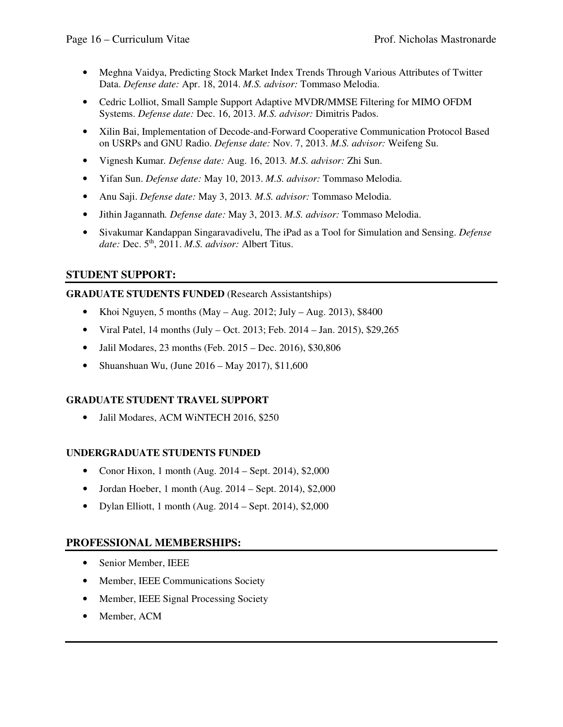- • Meghna Vaidya, Predicting Stock Market Index Trends Through Various Attributes of Twitter Data. *Defense date:* Apr. 18, 2014. *M.S. advisor:* Tommaso Melodia.
- • Cedric Lolliot, Small Sample Support Adaptive MVDR/MMSE Filtering for MIMO OFDM Systems. *Defense date:* Dec. 16, 2013. *M.S. advisor:* Dimitris Pados.
- • Xilin Bai, Implementation of Decode-and-Forward Cooperative Communication Protocol Based on USRPs and GNU Radio. *Defense date:* Nov. 7, 2013. *M.S. advisor:* Weifeng Su.
- Vignesh Kumar*. Defense date:* Aug. 16, 2013*. M.S. advisor:* Zhi Sun.
- Yifan Sun. *Defense date:* May 10, 2013. *M.S. advisor:* Tommaso Melodia.
- Anu Saji. *Defense date:* May 3, 2013*. M.S. advisor:* Tommaso Melodia.
- Jithin Jagannath*. Defense date:* May 3, 2013. *M.S. advisor:* Tommaso Melodia.
- • Sivakumar Kandappan Singaravadivelu, The iPad as a Tool for Simulation and Sensing. *Defense date:* Dec. 5th, 2011. *M.S. advisor:* Albert Titus.

# **STUDENT SUPPORT:**

### **GRADUATE STUDENTS FUNDED** (Research Assistantships)

- Khoi Nguyen, 5 months (May Aug. 2012; July Aug. 2013), \$8400
- Viral Patel, 14 months (July Oct. 2013; Feb. 2014 Jan. 2015), \$29,265
- Jalil Modares, 23 months (Feb. 2015 Dec. 2016), \$30,806
- Shuanshuan Wu, (June  $2016 May 2017$ ), \$11,600

### **GRADUATE STUDENT TRAVEL SUPPORT**

• Jalil Modares, ACM WiNTECH 2016, \$250

### **UNDERGRADUATE STUDENTS FUNDED**

- Conor Hixon, 1 month (Aug. 2014 Sept. 2014), \$2,000
- Jordan Hoeber, 1 month (Aug.  $2014 -$  Sept. 2014), \$2,000
- Dylan Elliott, 1 month (Aug.  $2014 -$ Sept. 2014), \$2,000

### **PROFESSIONAL MEMBERSHIPS:**

- Senior Member, IEEE
- Member, IEEE Communications Society
- Member, IEEE Signal Processing Society
- Member, ACM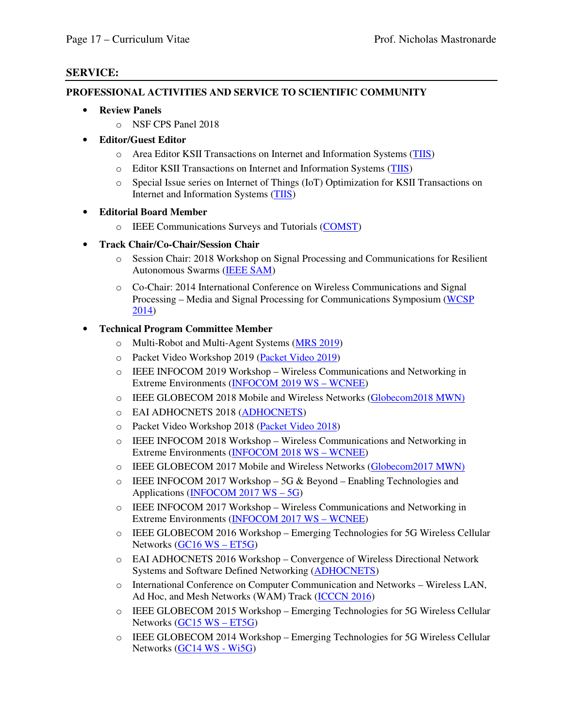### **SERVICE:**

#### **PROFESSIONAL ACTIVITIES AND SERVICE TO SCIENTIFIC COMMUNITY**

- **Review Panels** 
	- o NSF CPS Panel 2018
- **Editor/Guest Editor** 
	- o Area Editor KSII Transactions on Internet and Information Systems (TIIS)
	- o Editor KSII Transactions on Internet and Information Systems (TIIS)
	- o Special Issue series on Internet of Things (IoT) Optimization for KSII Transactions on Internet and Information Systems (TIIS)

### • **Editorial Board Member**

- o IEEE Communications Surveys and Tutorials (COMST)
- **Track Chair/Co-Chair/Session Chair** 
	- o Session Chair: 2018 Workshop on Signal Processing and Communications for Resilient Autonomous Swarms (IEEE SAM)
	- o Co-Chair: 2014 International Conference on Wireless Communications and Signal Processing – Media and Signal Processing for Communications Symposium (WCSP 2014)

### • **Technical Program Committee Member**

- o Multi-Robot and Multi-Agent Systems (MRS 2019)
- o Packet Video Workshop 2019 (Packet Video 2019)
- o IEEE INFOCOM 2019 Workshop Wireless Communications and Networking in Extreme Environments (INFOCOM 2019 WS – WCNEE)
- o IEEE GLOBECOM 2018 Mobile and Wireless Networks (Globecom2018 MWN)
- o EAI ADHOCNETS 2018 (ADHOCNETS)
- o Packet Video Workshop 2018 (Packet Video 2018)
- o IEEE INFOCOM 2018 Workshop Wireless Communications and Networking in Extreme Environments (INFOCOM 2018 WS - WCNEE)
- o IEEE GLOBECOM 2017 Mobile and Wireless Networks (Globecom2017 MWN)
- $\circ$  IEEE INFOCOM 2017 Workshop 5G & Beyond Enabling Technologies and Applications (INFOCOM 2017 WS – 5G)
- o IEEE INFOCOM 2017 Workshop Wireless Communications and Networking in Extreme Environments (INFOCOM 2017 WS – WCNEE)
- o IEEE GLOBECOM 2016 Workshop Emerging Technologies for 5G Wireless Cellular Networks (GC16 WS – ET5G)
- o EAI ADHOCNETS 2016 Workshop Convergence of Wireless Directional Network Systems and Software Defined Networking (ADHOCNETS)
- o International Conference on Computer Communication and Networks Wireless LAN, Ad Hoc, and Mesh Networks (WAM) Track (ICCCN 2016)
- o IEEE GLOBECOM 2015 Workshop Emerging Technologies for 5G Wireless Cellular Networks (GC15 WS – ET5G)
- o IEEE GLOBECOM 2014 Workshop Emerging Technologies for 5G Wireless Cellular Networks (GC14 WS - Wi5G)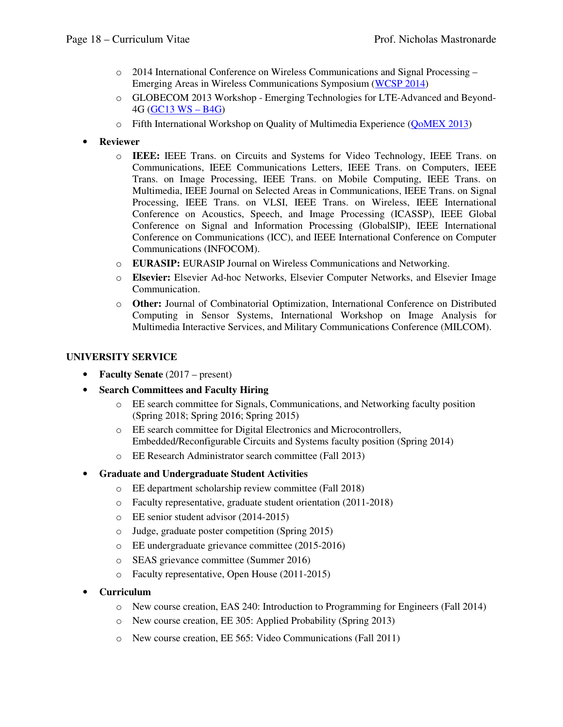- o 2014 International Conference on Wireless Communications and Signal Processing Emerging Areas in Wireless Communications Symposium (WCSP 2014)
- o GLOBECOM 2013 Workshop Emerging Technologies for LTE-Advanced and Beyond-4G (GC13 WS – B4G)
- o Fifth International Workshop on Quality of Multimedia Experience (QoMEX 2013)
- **Reviewer** 
	- o **IEEE:** IEEE Trans. on Circuits and Systems for Video Technology, IEEE Trans. on Communications, IEEE Communications Letters, IEEE Trans. on Computers, IEEE Trans. on Image Processing, IEEE Trans. on Mobile Computing, IEEE Trans. on Multimedia, IEEE Journal on Selected Areas in Communications, IEEE Trans. on Signal Processing, IEEE Trans. on VLSI, IEEE Trans. on Wireless, IEEE International Conference on Acoustics, Speech, and Image Processing (ICASSP), IEEE Global Conference on Signal and Information Processing (GlobalSIP), IEEE International Conference on Communications (ICC), and IEEE International Conference on Computer Communications (INFOCOM).
	- o **EURASIP:** EURASIP Journal on Wireless Communications and Networking.
	- o **Elsevier:** Elsevier Ad-hoc Networks, Elsevier Computer Networks, and Elsevier Image Communication.
	- o **Other:** Journal of Combinatorial Optimization, International Conference on Distributed Computing in Sensor Systems, International Workshop on Image Analysis for Multimedia Interactive Services, and Military Communications Conference (MILCOM).

### **UNIVERSITY SERVICE**

- **Faculty Senate** (2017 present)
- **Search Committees and Faculty Hiring** 
	- o EE search committee for Signals, Communications, and Networking faculty position (Spring 2018; Spring 2016; Spring 2015)
	- o EE search committee for Digital Electronics and Microcontrollers, Embedded/Reconfigurable Circuits and Systems faculty position (Spring 2014)
	- o EE Research Administrator search committee (Fall 2013)
- **Graduate and Undergraduate Student Activities** 
	- o EE department scholarship review committee (Fall 2018)
	- o Faculty representative, graduate student orientation (2011-2018)
	- o EE senior student advisor (2014-2015)
	- o Judge, graduate poster competition (Spring 2015)
	- o EE undergraduate grievance committee (2015-2016)
	- o SEAS grievance committee (Summer 2016)
	- o Faculty representative, Open House (2011-2015)
- **Curriculum** 
	- o New course creation, EAS 240: Introduction to Programming for Engineers (Fall 2014)
	- o New course creation, EE 305: Applied Probability (Spring 2013)
	- o New course creation, EE 565: Video Communications (Fall 2011)